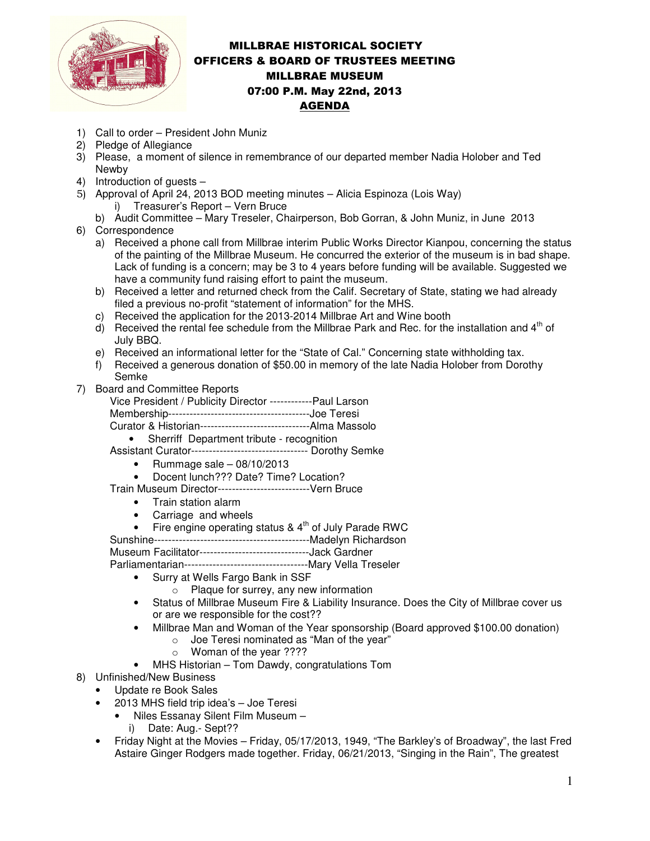

## MILLBRAE HISTORICAL SOCIETY OFFICERS & BOARD OF TRUSTEES MEETING MILLBRAE MUSEUM 07:00 P.M. May 22nd, 2013 AGENDA

- 1) Call to order President John Muniz
- 2) Pledge of Allegiance
- 3) Please, a moment of silence in remembrance of our departed member Nadia Holober and Ted Newby
- 4) Introduction of guests –
- 5) Approval of April 24, 2013 BOD meeting minutes Alicia Espinoza (Lois Way) i) Treasurer's Report – Vern Bruce
	- b) Audit Committee Mary Treseler, Chairperson, Bob Gorran, & John Muniz, in June 2013
- 6) Correspondence
	- a) Received a phone call from Millbrae interim Public Works Director Kianpou, concerning the status of the painting of the Millbrae Museum. He concurred the exterior of the museum is in bad shape. Lack of funding is a concern; may be 3 to 4 years before funding will be available. Suggested we have a community fund raising effort to paint the museum.
	- b) Received a letter and returned check from the Calif. Secretary of State, stating we had already filed a previous no-profit "statement of information" for the MHS.
	- c) Received the application for the 2013-2014 Millbrae Art and Wine booth
	- d) Received the rental fee schedule from the Millbrae Park and Rec. for the installation and  $4<sup>th</sup>$  of July BBQ.
	- e) Received an informational letter for the "State of Cal." Concerning state withholding tax.
	- f) Received a generous donation of \$50.00 in memory of the late Nadia Holober from Dorothy Semke
- 7) Board and Committee Reports
	- Vice President / Publicity Director ------------Paul Larson
	- Membership----------------------------------------Joe Teresi
	- Curator & Historian-------------------------------Alma Massolo
	- Sherriff Department tribute recognition
	- Assistant Curator--------------------------------- Dorothy Semke
		- Rummage sale  $-08/10/2013$
		- Docent lunch??? Date? Time? Location?
	- Train Museum Director--------------------------Vern Bruce
		- Train station alarm
		- Carriage and wheels
		- Fire engine operating status  $8.4<sup>th</sup>$  of July Parade RWC
	- Sunshine--------------------------------------------Madelyn Richardson

Museum Facilitator-------------------------------Jack Gardner

Parliamentarian-----------------------------------Mary Vella Treseler

- Surry at Wells Fargo Bank in SSF
	- o Plaque for surrey, any new information
- Status of Millbrae Museum Fire & Liability Insurance. Does the City of Millbrae cover us or are we responsible for the cost??
- Millbrae Man and Woman of the Year sponsorship (Board approved \$100.00 donation)
	- o Joe Teresi nominated as "Man of the year"
		- o Woman of the year ????
- MHS Historian Tom Dawdy, congratulations Tom
- 8) Unfinished/New Business
	- Update re Book Sales
	- 2013 MHS field trip idea's Joe Teresi
		- Niles Essanay Silent Film Museum –
		- i) Date: Aug.- Sept??
	- Friday Night at the Movies Friday, 05/17/2013, 1949, "The Barkley's of Broadway", the last Fred Astaire Ginger Rodgers made together. Friday, 06/21/2013, "Singing in the Rain", The greatest